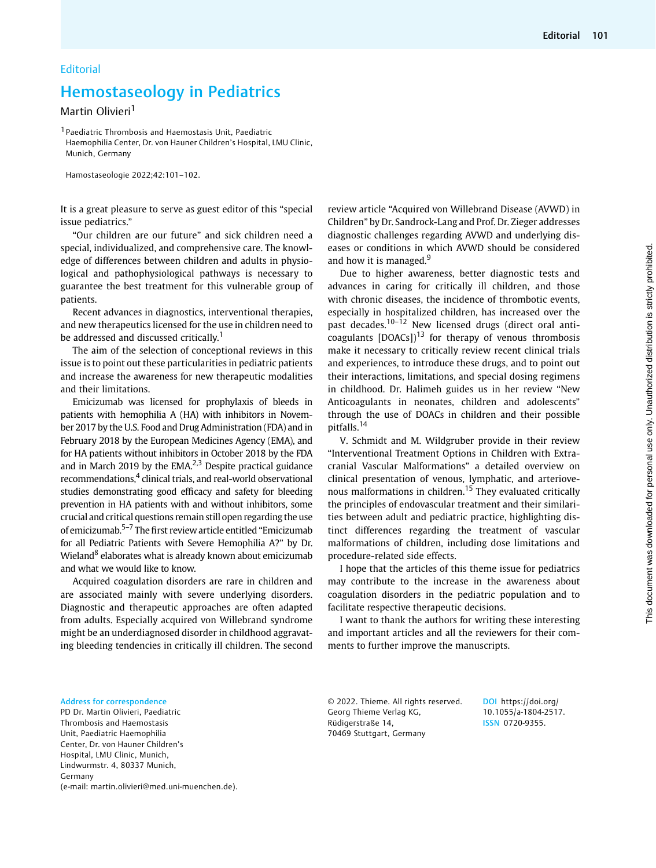## Hemostaseology in Pediatrics

## Martin Olivieri<sup>1</sup>

1 Paediatric Thrombosis and Haemostasis Unit, Paediatric Haemophilia Center, Dr. von Hauner Children's Hospital, LMU Clinic, Munich, Germany

Hamostaseologie 2022;42:101–102.

It is a great pleasure to serve as guest editor of this "special issue pediatrics."

"Our children are our future" and sick children need a special, individualized, and comprehensive care. The knowledge of differences between children and adults in physiological and pathophysiological pathways is necessary to guarantee the best treatment for this vulnerable group of patients.

Recent advances in diagnostics, interventional therapies, and new therapeutics licensed for the use in children need to be addressed and discussed critically.<sup>1</sup>

The aim of the selection of conceptional reviews in this issue is to point out these particularities in pediatric patients and increase the awareness for new therapeutic modalities and their limitations.

Emicizumab was licensed for prophylaxis of bleeds in patients with hemophilia A (HA) with inhibitors in November 2017 by the U.S. Food and Drug Administration (FDA) and in February 2018 by the European Medicines Agency (EMA), and for HA patients without inhibitors in October 2018 by the FDA and in March 2019 by the EMA $^{2,3}$  Despite practical guidance recommendations,<sup>4</sup> clinical trials, and real-world observational studies demonstrating good efficacy and safety for bleeding prevention in HA patients with and without inhibitors, some crucial and critical questions remain still open regarding the use of emicizumab.<sup>5-7</sup> The first review article entitled "Emicizumab for all Pediatric Patients with Severe Hemophilia A?" by Dr. Wieland<sup>8</sup> elaborates what is already known about emicizumab and what we would like to know.

Acquired coagulation disorders are rare in children and are associated mainly with severe underlying disorders. Diagnostic and therapeutic approaches are often adapted from adults. Especially acquired von Willebrand syndrome might be an underdiagnosed disorder in childhood aggravating bleeding tendencies in critically ill children. The second review article "Acquired von Willebrand Disease (AVWD) in Children" by Dr. Sandrock-Lang and Prof. Dr. Zieger addresses diagnostic challenges regarding AVWD and underlying diseases or conditions in which AVWD should be considered and how it is managed. $9$ 

Due to higher awareness, better diagnostic tests and advances in caring for critically ill children, and those with chronic diseases, the incidence of thrombotic events, especially in hospitalized children, has increased over the past decades.<sup>10-12</sup> New licensed drugs (direct oral anticoagulants  $[DOACs]$ <sup>13</sup> for therapy of venous thrombosis make it necessary to critically review recent clinical trials and experiences, to introduce these drugs, and to point out their interactions, limitations, and special dosing regimens in childhood. Dr. Halimeh guides us in her review "New Anticoagulants in neonates, children and adolescents" through the use of DOACs in children and their possible pitfalls.<sup>14</sup>

V. Schmidt and M. Wildgruber provide in their review "Interventional Treatment Options in Children with Extracranial Vascular Malformations" a detailed overview on clinical presentation of venous, lymphatic, and arteriovenous malformations in children.<sup>15</sup> They evaluated critically the principles of endovascular treatment and their similarities between adult and pediatric practice, highlighting distinct differences regarding the treatment of vascular malformations of children, including dose limitations and procedure-related side effects.

I hope that the articles of this theme issue for pediatrics may contribute to the increase in the awareness about coagulation disorders in the pediatric population and to facilitate respective therapeutic decisions.

I want to thank the authors for writing these interesting and important articles and all the reviewers for their comments to further improve the manuscripts.

Address for correspondence PD Dr. Martin Olivieri, Paediatric Thrombosis and Haemostasis Unit, Paediatric Haemophilia Center, Dr. von Hauner Children's

Hospital, LMU Clinic, Munich, Lindwurmstr. 4, 80337 Munich, Germany (e-mail: [martin.olivieri@med.uni-muenchen.de\)](mailto:). © 2022. Thieme. All rights reserved. Georg Thieme Verlag KG, Rüdigerstraße 14, 70469 Stuttgart, Germany

DOI [https://doi.org/](https://doi.org/10.1055/a-1804-2517) [10.1055/a-1804-2517.](https://doi.org/10.1055/a-1804-2517) ISSN 0720-9355.